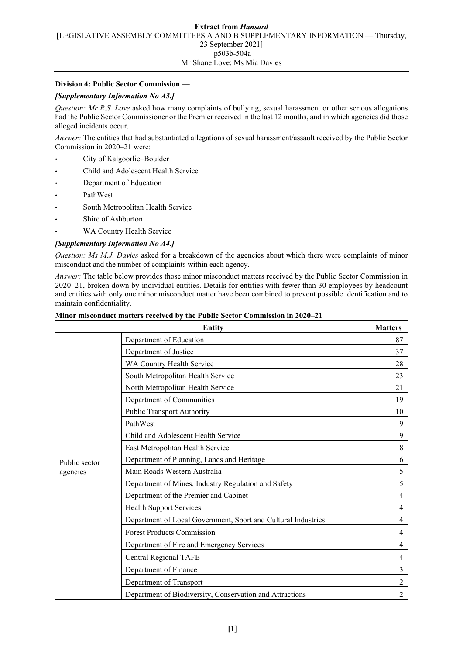## **Division 4: Public Sector Commission —**

# *[Supplementary Information No A3.]*

*Question: Mr R.S. Love* asked how many complaints of bullying, sexual harassment or other serious allegations had the Public Sector Commissioner or the Premier received in the last 12 months, and in which agencies did those alleged incidents occur.

*Answer:* The entities that had substantiated allegations of sexual harassment/assault received by the Public Sector Commission in 2020–21 were:

- City of Kalgoorlie–Boulder
- Child and Adolescent Health Service
- Department of Education
- PathWest
- South Metropolitan Health Service
- Shire of Ashburton
- WA Country Health Service

## *[Supplementary Information No A4.]*

*Question: Ms M.J. Davies* asked for a breakdown of the agencies about which there were complaints of minor misconduct and the number of complaints within each agency.

*Answer:* The table below provides those minor misconduct matters received by the Public Sector Commission in 2020–21, broken down by individual entities. Details for entities with fewer than 30 employees by headcount and entities with only one minor misconduct matter have been combined to prevent possible identification and to maintain confidentiality.

|                           | <b>Entity</b>                                                 | <b>Matters</b> |
|---------------------------|---------------------------------------------------------------|----------------|
| Public sector<br>agencies | Department of Education                                       | 87             |
|                           | Department of Justice                                         | 37             |
|                           | WA Country Health Service                                     | 28             |
|                           | South Metropolitan Health Service                             | 23             |
|                           | North Metropolitan Health Service                             | 21             |
|                           | Department of Communities                                     | 19             |
|                           | <b>Public Transport Authority</b>                             | 10             |
|                           | PathWest                                                      | 9              |
|                           | Child and Adolescent Health Service                           | 9              |
|                           | East Metropolitan Health Service                              | 8              |
|                           | Department of Planning, Lands and Heritage                    | 6              |
|                           | Main Roads Western Australia                                  | 5              |
|                           | Department of Mines, Industry Regulation and Safety           | 5              |
|                           | Department of the Premier and Cabinet                         | 4              |
|                           | <b>Health Support Services</b>                                | 4              |
|                           | Department of Local Government, Sport and Cultural Industries | 4              |
|                           | <b>Forest Products Commission</b>                             | 4              |
|                           | Department of Fire and Emergency Services                     | 4              |
|                           | <b>Central Regional TAFE</b>                                  | 4              |
|                           | Department of Finance                                         | 3              |
|                           | Department of Transport                                       | $\overline{2}$ |
|                           | Department of Biodiversity, Conservation and Attractions      | 2              |

#### **Minor misconduct matters received by the Public Sector Commission in 2020–21**